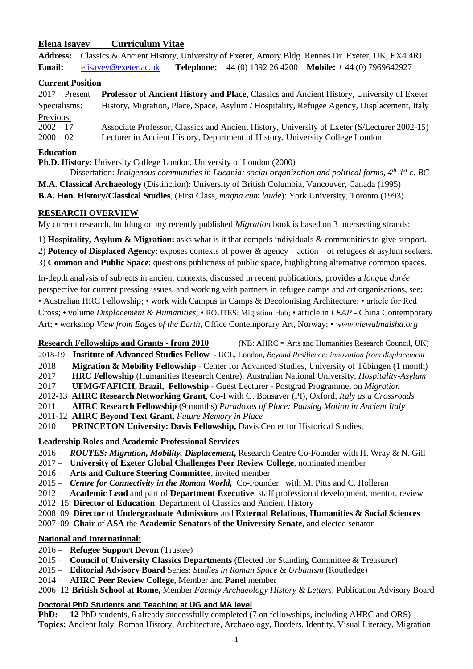### **Elena Isayev Curriculum Vitae**

**Address:** Classics & Ancient History, University of Exeter, Amory Bldg. Rennes Dr. Exeter, UK, EX4 4RJ **Email:** [e.isayev@exeter.ac.uk](mailto:e.isayev@exeter.ac.uk) **Telephone:** + 44 (0) 1392 26 4200 **Mobile:** + 44 (0) 7969642927

#### **Current Position**

2017 – Present **Professor of Ancient History and Place**, Classics and Ancient History, University of Exeter Specialisms: History, Migration, Place, Space, Asylum / Hospitality, Refugee Agency, Displacement, Italy Previous: 2002 – 17 Associate Professor, Classics and Ancient History, University of Exeter (S/Lecturer 2002-15) 2000 – 02 Lecturer in Ancient History, Department of History, University College London

### **Education**

**Ph.D. History**: University College London, University of London (2000)

Dissertation: *Indigenous communities in Lucania: social organization and political forms, 4th -1 st c. BC* **M.A. Classical Archaeology** (Distinction): University of British Columbia, Vancouver, Canada (1995) **B.A. Hon. History/Classical Studies**, (First Class, *magna cum laude*): York University, Toronto (1993)

### **RESEARCH OVERVIEW**

My current research, building on my recently published *Migration* book is based on 3 intersecting strands:

1) **Hospitality, Asylum & Migration:** asks what is it that compels individuals & communities to give support.

2) **Potency of Displaced Agency**: exposes contexts of power & agency – action – of refugees & asylum seekers.

3) **Common and Public Space**: questions publicness of public space, highlighting alternative common spaces.

In-depth analysis of subjects in ancient contexts, discussed in recent publications, provides a *longue durée* perspective for current pressing issues, and working with partners in refugee camps and art organisations, see: • Australian HRC Fellowship; • work with Campus in Camps & Decolonising Architecture; • article for Red Cross; • volume *Displacement & Humanities*; • ROUTES: Migration Hub; • article in *LEAP* - China Contemporary Art; • workshop *View from Edges of the Earth*, Office Contemporary Art, Norway; • *www.viewalmaisha.org*

**Research Fellowships and Grants - from 2010** (NB: AHRC = Arts and Humanities Research Council, UK)

- 2018-19 **Institute of Advanced Studies Fellow** UCL, London, *Beyond Resilience: innovation from displacement*
- 2018 **Migration & Mobility Fellowship** Center for Advanced Studies, University of Tübingen (1 month)
- 2017 **HRC Fellowship** (Humanities Research Centre), Australian National University, *Hospitality-Asylum*
- 2017 **UFMG/FAFICH, Brazil, Fellowship**  Guest Lecturer **-** Postgrad Programme**,** on *Migration*

2012-13 **AHRC Research Networking Grant**, Co-I with G. Bonsaver (PI), Oxford, *Italy as a Crossroads*

2011 **AHRC Research Fellowship** (9 months) *Paradoxes of Place: Pausing Motion in Ancient Italy* 

- 2011-12 **AHRC Beyond Text Grant**, *Future Memory in Place*
- 2010 **PRINCETON University: Davis Fellowship,** Davis Center for Historical Studies.

# **Leadership Roles and Academic Professional Services**

- 2016 *ROUTES: Migration, Mobility, Displacement***,** Research Centre Co-Founder with H. Wray & N. Gill
- 2017 **University of Exeter Global Challenges Peer Review College**, nominated member
- 2016 **Arts and Culture Steering Committee**, invited member
- 2015 *Centre for Connectivity in the Roman World,* Co-Founder, with M. Pitts and C. Holleran

2012 – **Academic Lead** and part of **Department Executive**, staff professional development, mentor, review

- 2012–15 **Director of Education**, Department of Classics and Ancient History
- 2008–09 **Director** of **Undergraduate Admissions** and **External Relations**, **Humanities & Social Sciences**

2007–09 **Chair** of **ASA** the **Academic Senators of the University Senate**, and elected senator

# **National and International:**

- 2016 **Refugee Support Devon** (Trustee)
- 2015 **Council of University Classics Departments** (Elected for Standing Committee & Treasurer)
- 2015 **Editorial Advisory Board** Series: *Studies in Roman Space & Urbanism* (Routledge)
- 2014 **AHRC Peer Review College,** Member and **Panel** member
- 2006–12 **British School at Rome,** Member *Faculty Archaeology History & Letters*, Publication Advisory Board

# **Doctoral PhD Students and Teaching at UG and MA level**

**PhD: 12** PhD students, 6 already successfully completed (7 on fellowships, including AHRC and ORS) **Topics:** Ancient Italy, Roman History, Architecture, Archaeology, Borders, Identity, Visual Literacy, Migration